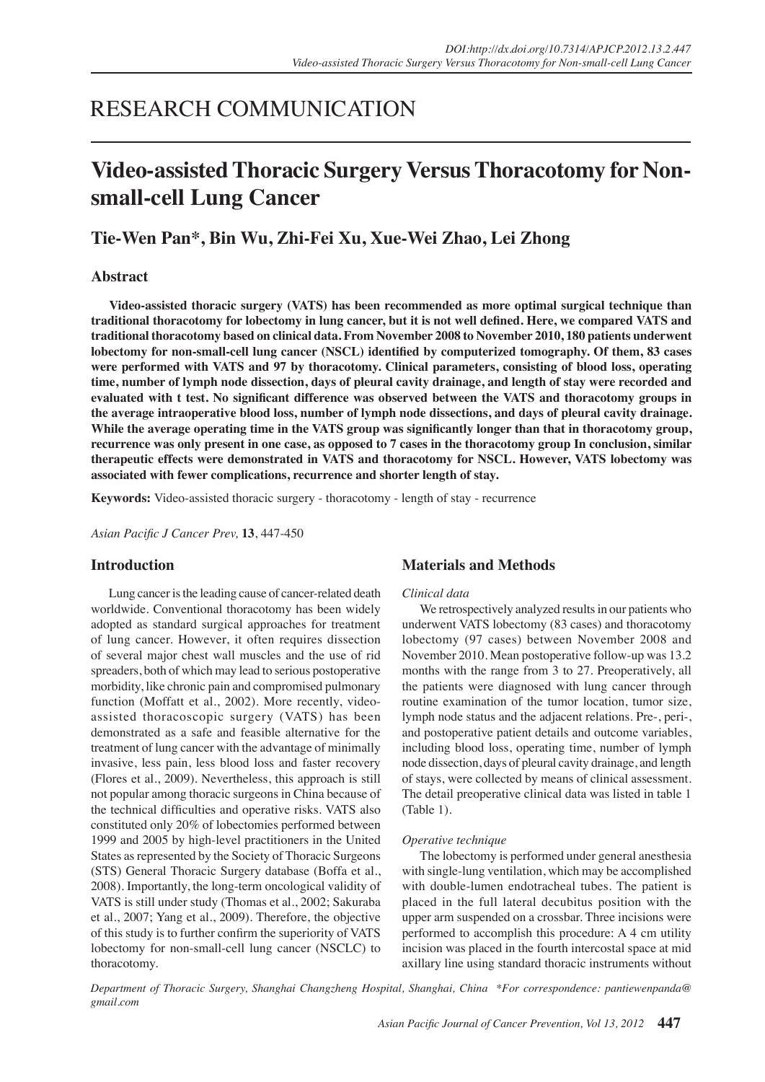# RESEARCH COMMUNICATION

# **Video-assisted Thoracic Surgery Versus Thoracotomy for Nonsmall-cell Lung Cancer**

# **Tie-Wen Pan\*, Bin Wu, Zhi-Fei Xu, Xue-Wei Zhao, Lei Zhong**

# **Abstract**

**Video-assisted thoracic surgery (VATS) has been recommended as more optimal surgical technique than traditional thoracotomy for lobectomy in lung cancer, but it is not well defined. Here, we compared VATS and traditional thoracotomy based on clinical data. From November 2008 to November 2010, 180 patients underwent lobectomy for non-small-cell lung cancer (NSCL) identified by computerized tomography. Of them, 83 cases were performed with VATS and 97 by thoracotomy. Clinical parameters, consisting of blood loss, operating time, number of lymph node dissection, days of pleural cavity drainage, and length of stay were recorded and evaluated with t test. No significant difference was observed between the VATS and thoracotomy groups in the average intraoperative blood loss, number of lymph node dissections, and days of pleural cavity drainage. While the average operating time in the VATS group was significantly longer than that in thoracotomy group, recurrence was only present in one case, as opposed to 7 cases in the thoracotomy group In conclusion, similar therapeutic effects were demonstrated in VATS and thoracotomy for NSCL. However, VATS lobectomy was associated with fewer complications, recurrence and shorter length of stay.**

**Keywords:** Video-assisted thoracic surgery - thoracotomy - length of stay - recurrence

*Asian Pacific J Cancer Prev,* **13**, 447-450

### **Introduction**

Lung cancer is the leading cause of cancer-related death worldwide. Conventional thoracotomy has been widely adopted as standard surgical approaches for treatment of lung cancer. However, it often requires dissection of several major chest wall muscles and the use of rid spreaders, both of which may lead to serious postoperative morbidity, like chronic pain and compromised pulmonary function (Moffatt et al., 2002). More recently, videoassisted thoracoscopic surgery (VATS) has been demonstrated as a safe and feasible alternative for the treatment of lung cancer with the advantage of minimally invasive, less pain, less blood loss and faster recovery (Flores et al., 2009). Nevertheless, this approach is still not popular among thoracic surgeons in China because of the technical difficulties and operative risks. VATS also constituted only 20% of lobectomies performed between 1999 and 2005 by high-level practitioners in the United States as represented by the Society of Thoracic Surgeons (STS) General Thoracic Surgery database (Boffa et al., 2008). Importantly, the long-term oncological validity of VATS is still under study (Thomas et al., 2002; Sakuraba et al., 2007; Yang et al., 2009). Therefore, the objective of this study is to further confirm the superiority of VATS lobectomy for non-small-cell lung cancer (NSCLC) to thoracotomy.

# **Materials and Methods**

#### *Clinical data*

We retrospectively analyzed results in our patients who underwent VATS lobectomy (83 cases) and thoracotomy lobectomy (97 cases) between November 2008 and November 2010. Mean postoperative follow-up was 13.2 months with the range from 3 to 27. Preoperatively, all the patients were diagnosed with lung cancer through routine examination of the tumor location, tumor size, lymph node status and the adjacent relations. Pre-, peri-, and postoperative patient details and outcome variables, including blood loss, operating time, number of lymph node dissection, days of pleural cavity drainage, and length of stays, were collected by means of clinical assessment. The detail preoperative clinical data was listed in table 1 (Table 1).

#### *Operative technique*

The lobectomy is performed under general anesthesia with single-lung ventilation, which may be accomplished with double-lumen endotracheal tubes. The patient is placed in the full lateral decubitus position with the upper arm suspended on a crossbar. Three incisions were performed to accomplish this procedure: A 4 cm utility incision was placed in the fourth intercostal space at mid axillary line using standard thoracic instruments without

*Department of Thoracic Surgery, Shanghai Changzheng Hospital, Shanghai, China \*For correspondence: pantiewenpanda@ gmail.com*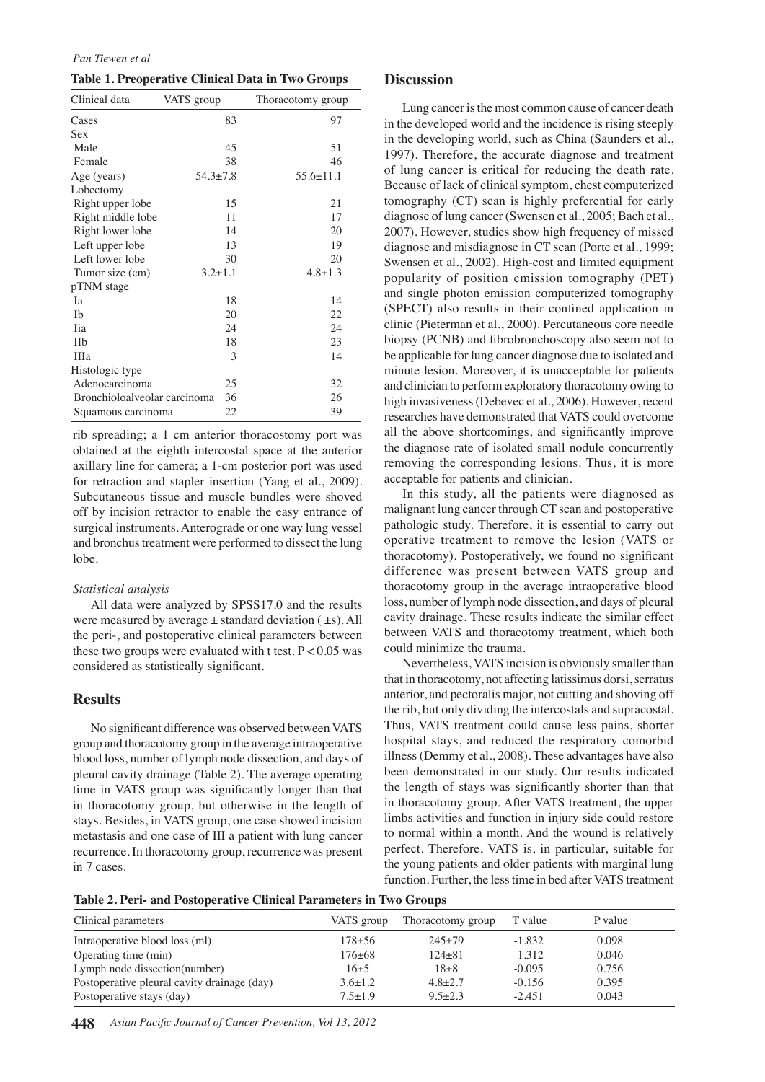#### *Pan Tiewen et al*

| Table 1. Preoperative Clinical Data in Two Groups |  |  |  |  |
|---------------------------------------------------|--|--|--|--|
|---------------------------------------------------|--|--|--|--|

| Clinical data                | VATS group    | Thoracotomy group |  |  |
|------------------------------|---------------|-------------------|--|--|
| Cases                        | 83            | 97                |  |  |
| Sex                          |               |                   |  |  |
| Male                         | 45            | 51                |  |  |
| Female                       | 38            | 46                |  |  |
| Age (years)                  | $54.3 + 7.8$  | $55.6 \pm 11.1$   |  |  |
| Lobectomy                    |               |                   |  |  |
| Right upper lobe             | 15            | 21                |  |  |
| Right middle lobe            | 11            | 17                |  |  |
| Right lower lobe             | 14            | 20                |  |  |
| Left upper lobe              | 13            | 19                |  |  |
| Left lower lobe              | 30            | 20                |  |  |
| Tumor size (cm)              | $3.2 \pm 1.1$ | $4.8 \pm 1.3$     |  |  |
| pTNM stage                   |               |                   |  |  |
| Iа                           | 18            | 14                |  |  |
| <b>Ib</b>                    | 20            | 22                |  |  |
| <b>Tia</b>                   | 24            | 24                |  |  |
| IIb                          | 18            | 23                |  |  |
| IIIa                         | 3             | 14                |  |  |
| Histologic type              |               |                   |  |  |
| Adenocarcinoma               | 25            | 32                |  |  |
| Bronchioloalveolar carcinoma | 36            | 26                |  |  |
| Squamous carcinoma           | 22            | 39                |  |  |

rib spreading; a 1 cm anterior thoracostomy port was obtained at the eighth intercostal space at the anterior axillary line for camera; a 1-cm posterior port was used for retraction and stapler insertion (Yang et al., 2009). Subcutaneous tissue and muscle bundles were shoved off by incision retractor to enable the easy entrance of surgical instruments. Anterograde or one way lung vessel and bronchus treatment were performed to dissect the lung lobe.

#### *Statistical analysis*

All data were analyzed by SPSS17.0 and the results were measured by average  $\pm$  standard deviation ( $\pm$ s). All the peri-, and postoperative clinical parameters between these two groups were evaluated with t test.  $P < 0.05$  was considered as statistically significant.

### **Results**

No significant difference was observed between VATS group and thoracotomy group in the average intraoperative blood loss, number of lymph node dissection, and days of pleural cavity drainage (Table 2). The average operating time in VATS group was significantly longer than that in thoracotomy group, but otherwise in the length of stays. Besides, in VATS group, one case showed incision metastasis and one case of III a patient with lung cancer recurrence. In thoracotomy group, recurrence was present in 7 cases.

## **Discussion**

Lung cancer is the most common cause of cancer death in the developed world and the incidence is rising steeply in the developing world, such as China (Saunders et al., 1997). Therefore, the accurate diagnose and treatment of lung cancer is critical for reducing the death rate. Because of lack of clinical symptom, chest computerized tomography (CT) scan is highly preferential for early diagnose of lung cancer (Swensen et al., 2005; Bach et al., 2007). However, studies show high frequency of missed diagnose and misdiagnose in CT scan (Porte et al., 1999; Swensen et al., 2002). High-cost and limited equipment popularity of position emission tomography (PET) and single photon emission computerized tomography (SPECT) also results in their confined application in clinic (Pieterman et al., 2000). Percutaneous core needle biopsy (PCNB) and fibrobronchoscopy also seem not to be applicable for lung cancer diagnose due to isolated and minute lesion. Moreover, it is unacceptable for patients and clinician to perform exploratory thoracotomy owing to high invasiveness (Debevec et al., 2006). However, recent researches have demonstrated that VATS could overcome all the above shortcomings, and significantly improve the diagnose rate of isolated small nodule concurrently removing the corresponding lesions. Thus, it is more acceptable for patients and clinician.

In this study, all the patients were diagnosed as malignant lung cancer through CT scan and postoperative pathologic study. Therefore, it is essential to carry out operative treatment to remove the lesion (VATS or thoracotomy). Postoperatively, we found no significant difference was present between VATS group and thoracotomy group in the average intraoperative blood loss, number of lymph node dissection, and days of pleural cavity drainage. These results indicate the similar effect between VATS and thoracotomy treatment, which both could minimize the trauma.

Nevertheless, VATS incision is obviously smaller than that in thoracotomy, not affecting latissimus dorsi, serratus anterior, and pectoralis major, not cutting and shoving off the rib, but only dividing the intercostals and supracostal. Thus, VATS treatment could cause less pains, shorter hospital stays, and reduced the respiratory comorbid illness (Demmy et al., 2008). These advantages have also been demonstrated in our study. Our results indicated the length of stays was significantly shorter than that in thoracotomy group. After VATS treatment, the upper limbs activities and function in injury side could restore to normal within a month. And the wound is relatively perfect. Therefore, VATS is, in particular, suitable for the young patients and older patients with marginal lung function. Further, the less time in bed after VATS treatment

**Table 2. Peri- and Postoperative Clinical Parameters in Two Groups**

| Clinical parameters                         | VATS group    | Thoracotomy group | T value  | P value |
|---------------------------------------------|---------------|-------------------|----------|---------|
| Intraoperative blood loss (ml)              | $178 + 56$    | $245+79$          | $-1.832$ | 0.098   |
| Operating time (min)                        | $176 + 68$    | $124\pm81$        | 1.312    | 0.046   |
| Lymph node dissection(number)               | $16+5$        | $18 + 8$          | $-0.095$ | 0.756   |
| Postoperative pleural cavity drainage (day) | $3.6 \pm 1.2$ | $4.8 + 2.7$       | $-0.156$ | 0.395   |
| Postoperative stays (day)                   | $7.5 \pm 1.9$ | $9.5 \pm 2.3$     | $-2.451$ | 0.043   |

**448** *Asian Pacific Journal of Cancer Prevention, Vol 13, 2012*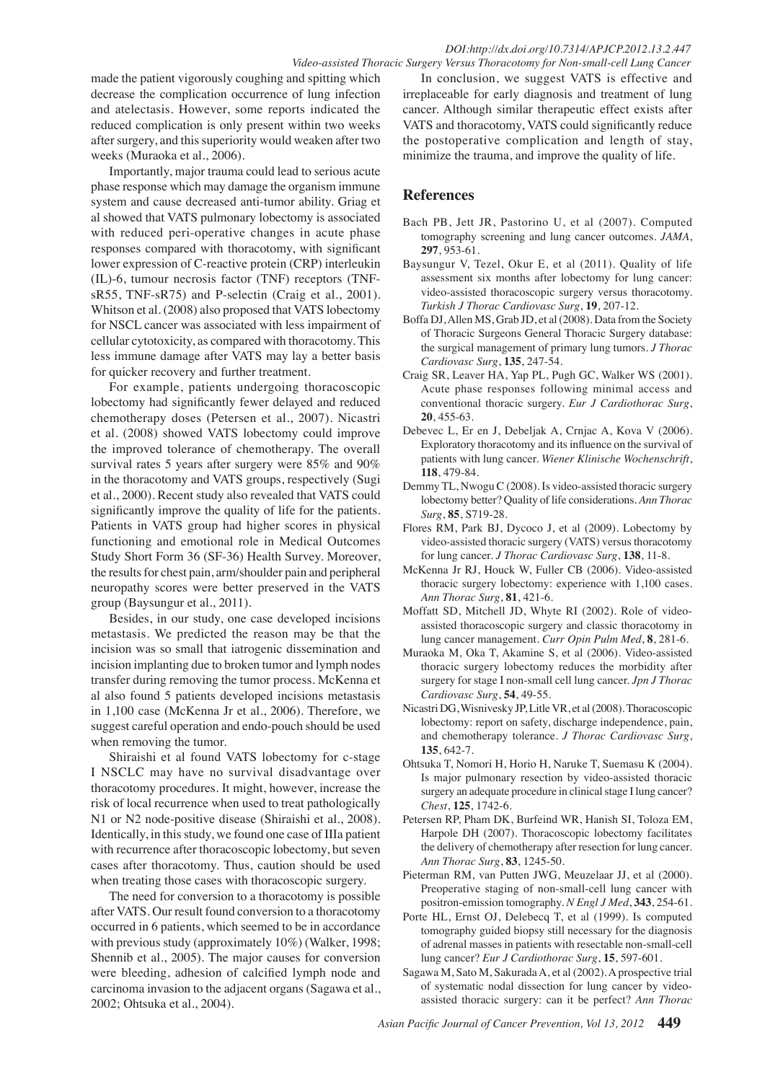made the patient vigorously coughing and spitting which decrease the complication occurrence of lung infection and atelectasis. However, some reports indicated the reduced complication is only present within two weeks after surgery, and this superiority would weaken after two weeks (Muraoka et al., 2006).

Importantly, major trauma could lead to serious acute phase response which may damage the organism immune system and cause decreased anti-tumor ability. Griag et al showed that VATS pulmonary lobectomy is associated with reduced peri-operative changes in acute phase responses compared with thoracotomy, with significant lower expression of C-reactive protein (CRP) interleukin (IL)-6, tumour necrosis factor (TNF) receptors (TNFsR55, TNF-sR75) and P-selectin (Craig et al., 2001). Whitson et al. (2008) also proposed that VATS lobectomy for NSCL cancer was associated with less impairment of cellular cytotoxicity, as compared with thoracotomy. This less immune damage after VATS may lay a better basis for quicker recovery and further treatment.

For example, patients undergoing thoracoscopic lobectomy had significantly fewer delayed and reduced chemotherapy doses (Petersen et al., 2007). Nicastri et al. (2008) showed VATS lobectomy could improve the improved tolerance of chemotherapy. The overall survival rates 5 years after surgery were 85% and 90% in the thoracotomy and VATS groups, respectively (Sugi et al., 2000). Recent study also revealed that VATS could significantly improve the quality of life for the patients. Patients in VATS group had higher scores in physical functioning and emotional role in Medical Outcomes Study Short Form 36 (SF-36) Health Survey. Moreover, the results for chest pain, arm/shoulder pain and peripheral neuropathy scores were better preserved in the VATS group (Baysungur et al., 2011).

Besides, in our study, one case developed incisions metastasis. We predicted the reason may be that the incision was so small that iatrogenic dissemination and incision implanting due to broken tumor and lymph nodes transfer during removing the tumor process. McKenna et al also found 5 patients developed incisions metastasis in 1,100 case (McKenna Jr et al., 2006). Therefore, we suggest careful operation and endo-pouch should be used when removing the tumor.

Shiraishi et al found VATS lobectomy for c-stage I NSCLC may have no survival disadvantage over thoracotomy procedures. It might, however, increase the risk of local recurrence when used to treat pathologically N1 or N2 node-positive disease (Shiraishi et al., 2008). Identically, in this study, we found one case of IIIa patient with recurrence after thoracoscopic lobectomy, but seven cases after thoracotomy. Thus, caution should be used when treating those cases with thoracoscopic surgery.

The need for conversion to a thoracotomy is possible after VATS. Our result found conversion to a thoracotomy occurred in 6 patients, which seemed to be in accordance with previous study (approximately 10%) (Walker, 1998; Shennib et al., 2005). The major causes for conversion were bleeding, adhesion of calcified lymph node and carcinoma invasion to the adjacent organs (Sagawa et al., 2002; Ohtsuka et al., 2004).

In conclusion, we suggest VATS is effective and irreplaceable for early diagnosis and treatment of lung cancer. Although similar therapeutic effect exists after VATS and thoracotomy, VATS could significantly reduce the postoperative complication and length of stay, minimize the trauma, and improve the quality of life.

# **References**

- Bach PB, Jett JR, Pastorino U, et al (2007). Computed tomography screening and lung cancer outcomes. *JAMA*, **297**, 953-61.
- Baysungur V, Tezel, Okur E, et al (2011). Quality of life assessment six months after lobectomy for lung cancer: video-assisted thoracoscopic surgery versus thoracotomy. *Turkish J Thorac Cardiovasc Surg*, **19**, 207-12.
- Boffa DJ, Allen MS, Grab JD, et al (2008). Data from the Society of Thoracic Surgeons General Thoracic Surgery database: the surgical management of primary lung tumors. *J Thorac Cardiovasc Surg*, **135**, 247-54.
- Craig SR, Leaver HA, Yap PL, Pugh GC, Walker WS (2001). Acute phase responses following minimal access and conventional thoracic surgery. *Eur J Cardiothorac Surg*, **20**, 455-63.
- Debevec L, Er en J, Debeljak A, Crnjac A, Kova V (2006). Exploratory thoracotomy and its influence on the survival of patients with lung cancer. *Wiener Klinische Wochenschrift*, **118**, 479-84.
- Demmy TL, Nwogu C (2008). Is video-assisted thoracic surgery lobectomy better? Quality of life considerations. *Ann Thorac Surg*, **85**, S719-28.
- Flores RM, Park BJ, Dycoco J, et al (2009). Lobectomy by video-assisted thoracic surgery (VATS) versus thoracotomy for lung cancer. *J Thorac Cardiovasc Surg*, **138**, 11-8.
- McKenna Jr RJ, Houck W, Fuller CB (2006). Video-assisted thoracic surgery lobectomy: experience with 1,100 cases. *Ann Thorac Surg*, **81**, 421-6.
- Moffatt SD, Mitchell JD, Whyte RI (2002). Role of videoassisted thoracoscopic surgery and classic thoracotomy in lung cancer management. *Curr Opin Pulm Med*, **8**, 281-6.
- Muraoka M, Oka T, Akamine S, et al (2006). Video-assisted thoracic surgery lobectomy reduces the morbidity after surgery for stage I non-small cell lung cancer. *Jpn J Thorac Cardiovasc Surg*, **54**, 49-55.
- Nicastri DG, Wisnivesky JP, Litle VR, et al (2008). Thoracoscopic lobectomy: report on safety, discharge independence, pain, and chemotherapy tolerance. *J Thorac Cardiovasc Surg*, **135**, 642-7.
- Ohtsuka T, Nomori H, Horio H, Naruke T, Suemasu K (2004). Is major pulmonary resection by video-assisted thoracic surgery an adequate procedure in clinical stage I lung cancer? *Chest*, **125**, 1742-6.
- Petersen RP, Pham DK, Burfeind WR, Hanish SI, Toloza EM, Harpole DH (2007). Thoracoscopic lobectomy facilitates the delivery of chemotherapy after resection for lung cancer. *Ann Thorac Surg*, **83**, 1245-50.
- Pieterman RM, van Putten JWG, Meuzelaar JJ, et al (2000). Preoperative staging of non-small-cell lung cancer with positron-emission tomography. *N Engl J Med*, **343**, 254-61.
- Porte HL, Ernst OJ, Delebecq T, et al (1999). Is computed tomography guided biopsy still necessary for the diagnosis of adrenal masses in patients with resectable non-small-cell lung cancer? *Eur J Cardiothorac Surg*, **15**, 597-601.
- Sagawa M, Sato M, Sakurada A, et al (2002). A prospective trial of systematic nodal dissection for lung cancer by videoassisted thoracic surgery: can it be perfect? *Ann Thorac*